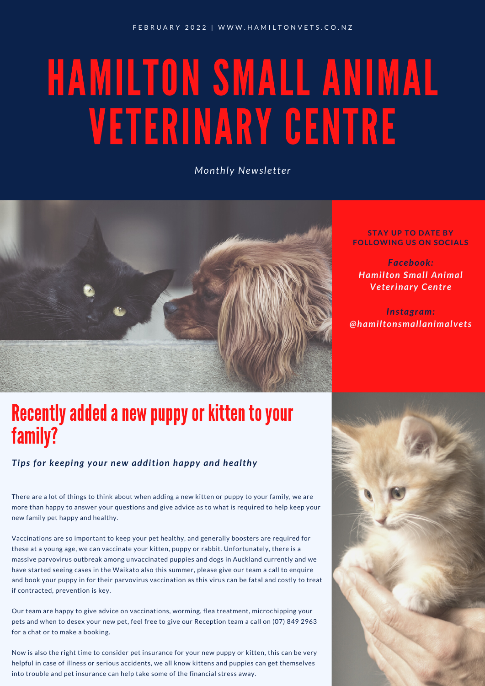# HAMILTON SMALL ANIMAL VETERINARY CENTRE

*Monthly Newsletter*



### Recently added a new puppy or kitten to your family?

#### *Tips for keeping your new addition happy and healthy*

There are a lot of things to think about when adding a new kitten or puppy to your family, we are more than happy to answer your questions and give advice as to what is required to help keep your new family pet happy and healthy.

Vaccinations are so important to keep your pet healthy, and generally boosters are required for these at a young age, we can vaccinate your kitten, puppy or rabbit. Unfortunately, there is a massive parvovirus outbreak among unvaccinated puppies and dogs in Auckland currently and we have started seeing cases in the Waikato also this summer, please give our team a call to enquire and book your puppy in for their parvovirus vaccination as this virus can be fatal and costly to treat if contracted, prevention is key.

Our team are happy to give advice on vaccinations, worming, flea treatment, microchipping your pets and when to desex your new pet, feel free to give our Reception team a call on (07) 849 2963 for a chat or to make a booking.

Now is also the right time to consider pet insurance for your new puppy or kitten, this can be very helpful in case of illness or serious accidents, we all know kittens and puppies can get themselves into trouble and pet insurance can help take some of the financial stress away.

#### **STAY UP TO DATE BY FOLLOWING US ON SOCIALS**

*Facebook: Hamilton Small Animal Veterinary Centre*

*Instagram: @hamiltonsmallanimalvets*